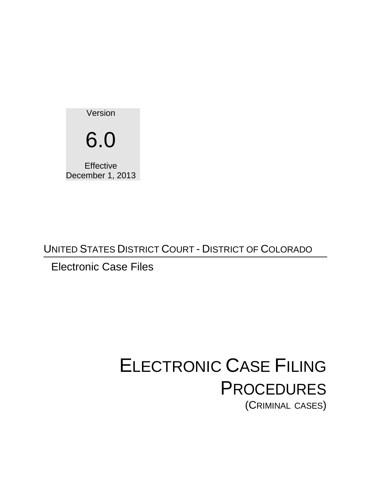Version 6.0 **Effective** December 1, 2013

UNITED STATES DISTRICT COURT - DISTRICT OF COLORADO

# Electronic Case Files

# ELECTRONIC CASE FILING **PROCEDURES** (CRIMINAL CASES)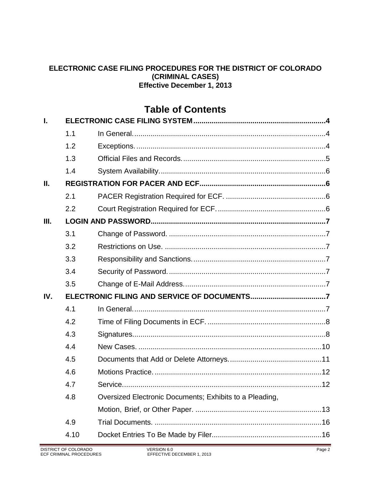#### **ELECTRONIC CASE FILING PROCEDURES FOR THE DISTRICT OF COLORADO (CRIMINAL CASES) Effective December 1, 2013**

# **Table of Contents**

| L    |      |                                                         |  |
|------|------|---------------------------------------------------------|--|
|      | 1.1  |                                                         |  |
|      | 1.2  |                                                         |  |
|      | 1.3  |                                                         |  |
|      | 1.4  |                                                         |  |
| П.   |      |                                                         |  |
|      | 2.1  |                                                         |  |
|      | 2.2  |                                                         |  |
| III. |      |                                                         |  |
|      | 3.1  |                                                         |  |
|      | 3.2  |                                                         |  |
|      | 3.3  |                                                         |  |
|      | 3.4  |                                                         |  |
|      | 3.5  |                                                         |  |
| IV.  |      |                                                         |  |
|      | 4.1  |                                                         |  |
|      | 4.2  |                                                         |  |
|      | 4.3  |                                                         |  |
|      | 4.4  |                                                         |  |
|      | 4.5  |                                                         |  |
|      | 4.6  |                                                         |  |
|      | 4.7  | Service<br>.12                                          |  |
|      | 4.8  | Oversized Electronic Documents; Exhibits to a Pleading, |  |
|      |      |                                                         |  |
|      | 4.9  |                                                         |  |
|      | 4.10 |                                                         |  |
|      |      |                                                         |  |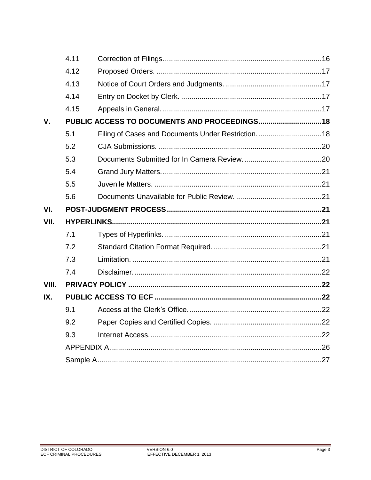|             | 4.11 |  |  |  |
|-------------|------|--|--|--|
|             | 4.12 |  |  |  |
|             | 4.13 |  |  |  |
|             | 4.14 |  |  |  |
|             | 4.15 |  |  |  |
| $V_{\cdot}$ |      |  |  |  |
|             | 5.1  |  |  |  |
|             | 5.2  |  |  |  |
|             | 5.3  |  |  |  |
|             | 5.4  |  |  |  |
|             | 5.5  |  |  |  |
|             | 5.6  |  |  |  |
| VI.         |      |  |  |  |
| VII.        |      |  |  |  |
|             | 7.1  |  |  |  |
|             | 7.2  |  |  |  |
|             | 7.3  |  |  |  |
|             | 7.4  |  |  |  |
| VIII.       |      |  |  |  |
| IX.         |      |  |  |  |
|             | 9.1  |  |  |  |
|             | 9.2  |  |  |  |
|             | 9.3  |  |  |  |
|             |      |  |  |  |
|             |      |  |  |  |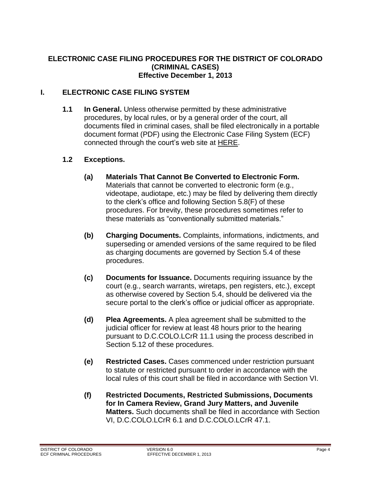#### **ELECTRONIC CASE FILING PROCEDURES FOR THE DISTRICT OF COLORADO (CRIMINAL CASES) Effective December 1, 2013**

#### <span id="page-3-1"></span><span id="page-3-0"></span>**I. ELECTRONIC CASE FILING SYSTEM**

**1.1 In General.** Unless otherwise permitted by these administrative procedures, by local rules, or by a general order of the court, all documents filed in criminal cases, shall be filed electronically in a portable document format (PDF) using the Electronic Case Filing System (ECF) connected through the court's web site at [HERE.](http://www.cod.uscourts.gov/)

#### <span id="page-3-2"></span>**1.2 Exceptions.**

- **(a) Materials That Cannot Be Converted to Electronic Form.**  Materials that cannot be converted to electronic form (e.g., videotape, audiotape, etc.) may be filed by delivering them directly to the clerk's office and following Section 5.8(F) of these procedures. For brevity, these procedures sometimes refer to these materials as "conventionally submitted materials."
- **(b) Charging Documents.** Complaints, informations, indictments, and superseding or amended versions of the same required to be filed as charging documents are governed by Section 5.4 of these procedures.
- **(c) Documents for Issuance.** Documents requiring issuance by the court (e.g., search warrants, wiretaps, pen registers, etc.), except as otherwise covered by Section 5.4, should be delivered via the secure portal to the clerk's office or judicial officer as appropriate.
- **(d) Plea Agreements.** A plea agreement shall be submitted to the judicial officer for review at least 48 hours prior to the hearing pursuant to D.C.COLO.LCrR 11.1 using the process described in Section 5.12 of these procedures.
- **(e) Restricted Cases.** Cases commenced under restriction pursuant to statute or restricted pursuant to order in accordance with the local rules of this court shall be filed in accordance with Section VI.
- **(f) Restricted Documents, Restricted Submissions, Documents for In Camera Review, Grand Jury Matters, and Juvenile Matters.** Such documents shall be filed in accordance with Section VI, D.C.COLO.LCrR 6.1 and D.C.COLO.LCrR 47.1.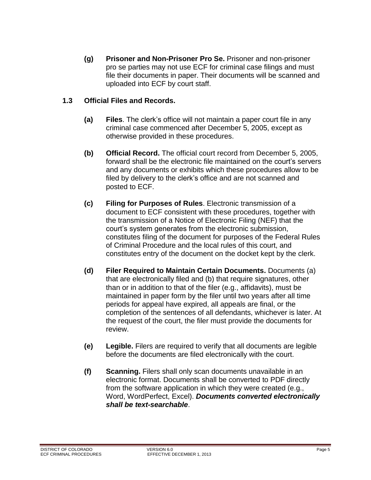**(g) Prisoner and Non-Prisoner Pro Se.** Prisoner and non-prisoner pro se parties may not use ECF for criminal case filings and must file their documents in paper. Their documents will be scanned and uploaded into ECF by court staff.

#### <span id="page-4-0"></span>**1.3 Official Files and Records.**

- **(a) Files**. The clerk's office will not maintain a paper court file in any criminal case commenced after December 5, 2005, except as otherwise provided in these procedures.
- **(b) Official Record.** The official court record from December 5, 2005, forward shall be the electronic file maintained on the court's servers and any documents or exhibits which these procedures allow to be filed by delivery to the clerk's office and are not scanned and posted to ECF.
- **(c) Filing for Purposes of Rules**. Electronic transmission of a document to ECF consistent with these procedures, together with the transmission of a Notice of Electronic Filing (NEF) that the court's system generates from the electronic submission, constitutes filing of the document for purposes of the Federal Rules of Criminal Procedure and the local rules of this court, and constitutes entry of the document on the docket kept by the clerk.
- **(d) Filer Required to Maintain Certain Documents.** Documents (a) that are electronically filed and (b) that require signatures, other than or in addition to that of the filer (e.g., affidavits), must be maintained in paper form by the filer until two years after all time periods for appeal have expired, all appeals are final, or the completion of the sentences of all defendants, whichever is later. At the request of the court, the filer must provide the documents for review.
- **(e) Legible.** Filers are required to verify that all documents are legible before the documents are filed electronically with the court.
- **(f) Scanning.** Filers shall only scan documents unavailable in an electronic format. Documents shall be converted to PDF directly from the software application in which they were created (e.g., Word, WordPerfect, Excel). *Documents converted electronically shall be text-searchable*.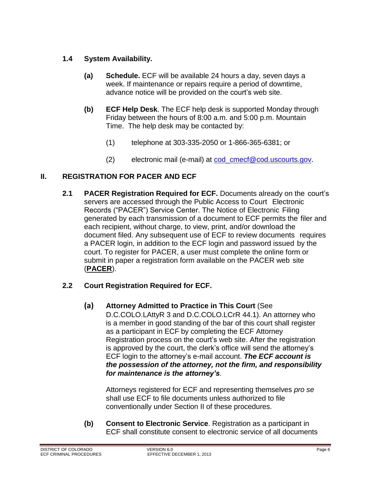#### <span id="page-5-0"></span>**1.4 System Availability.**

- **(a) Schedule.** ECF will be available 24 hours a day, seven days a week. If maintenance or repairs require a period of downtime, advance notice will be provided on the court's web site.
- **(b) ECF Help Desk**. The ECF help desk is supported Monday through Friday between the hours of 8:00 a.m. and 5:00 p.m. Mountain Time. The help desk may be contacted by:
	- (1) telephone at 303-335-2050 or 1-866-365-6381; or
	- (2) electronic mail (e-mail) at [cod\\_cmecf@cod.uscourts.gov.](mailto:cod_cmecf@cod.uscourts.gov)

#### <span id="page-5-2"></span><span id="page-5-1"></span>**II. REGISTRATION FOR PACER AND ECF**

**2.1 PACER Registration Required for ECF.** Documents already on the court's servers are accessed through the Public Access to Court Electronic Records ("PACER") Service Center. The Notice of Electronic Filing generated by each transmission of a document to ECF permits the filer and each recipient, without charge, to view, print, and/or download the document filed. Any subsequent use of ECF to review documents requires a PACER login, in addition to the ECF login and password issued by the court. To register for PACER, a user must complete the online form or submit in paper a registration form available on the PACER web site (**[PACER](http://www.pacer.gov/)**).

#### <span id="page-5-3"></span>**2.2 Court Registration Required for ECF.**

**(a) Attorney Admitted to Practice in This Court** (See

D.C.COLO.LAttyR 3 and D.C.COLO.LCrR 44.1). An attorney who is a member in good standing of the bar of this court shall register as a participant in ECF by completing the ECF Attorney Registration process on the court's web site. After the registration is approved by the court, the clerk's office will send the attorney's ECF login to the attorney's e-mail account. *The ECF account is the possession of the attorney, not the firm, and responsibility for maintenance is the attorney's*.

Attorneys registered for ECF and representing themselves *pro se* shall use ECF to file documents unless authorized to file conventionally under Section II of these procedures.

**(b) Consent to Electronic Service**. Registration as a participant in ECF shall constitute consent to electronic service of all documents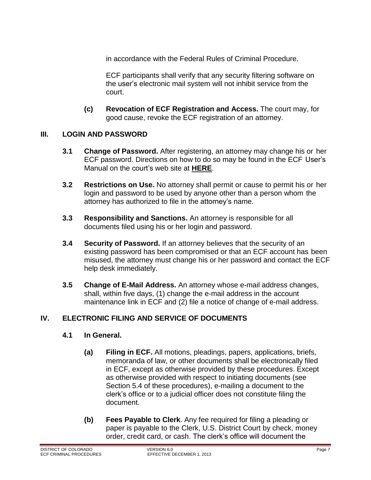in accordance with the Federal Rules of Criminal Procedure.

ECF participants shall verify that any security filtering software on the user's electronic mail system will not inhibit service from the court.

**(c) Revocation of ECF Registration and Access.** The court may, for good cause, revoke the ECF registration of an attorney.

#### <span id="page-6-1"></span><span id="page-6-0"></span>**III. LOGIN AND PASSWORD**

- **3.1 Change of Password.** After registering, an attorney may change his or her ECF password. Directions on how to do so may be found in the ECF User's Manual on the court's web site at **[HERE](http://www.cod.uscourts.gov/)**.
- <span id="page-6-2"></span>**3.2 Restrictions on Use.** No attorney shall permit or cause to permit his or her login and password to be used by anyone other than a person whom the attorney has authorized to file in the attorney's name.
- <span id="page-6-3"></span>**3.3 Responsibility and Sanctions.** An attorney is responsible for all documents filed using his or her login and password.
- <span id="page-6-4"></span>**3.4 Security of Password.** If an attorney believes that the security of an existing password has been compromised or that an ECF account has been misused, the attorney must change his or her password and contact the ECF help desk immediately.
- <span id="page-6-5"></span>**3.5 Change of E-Mail Address.** An attorney whose e-mail address changes, shall, within five days, (1) change the e-mail address in the account maintenance link in ECF and (2) file a notice of change of e-mail address.

#### <span id="page-6-7"></span><span id="page-6-6"></span>**IV. ELECTRONIC FILING AND SERVICE OF DOCUMENTS**

#### **4.1 In General.**

- **(a) Filing in ECF.** All motions, pleadings, papers, applications, briefs, memoranda of law, or other documents shall be electronically filed in ECF, except as otherwise provided by these procedures. Except as otherwise provided with respect to initiating documents (see Section 5.4 of these procedures), e-mailing a document to the clerk's office or to a judicial officer does not constitute filing the document.
- **(b) Fees Payable to Clerk**. Any fee required for filing a pleading or paper is payable to the Clerk, U.S. District Court by check, money order, credit card, or cash. The clerk's office will document the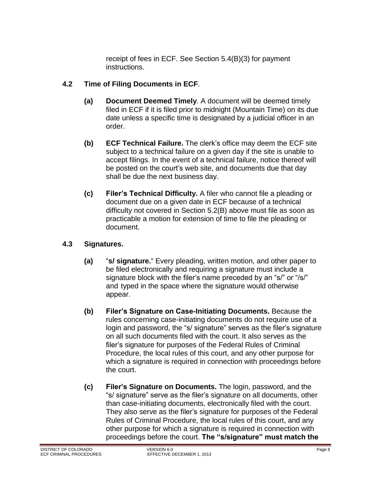receipt of fees in ECF. See Section 5.4(B)(3) for payment instructions.

#### <span id="page-7-0"></span>**4.2 Time of Filing Documents in ECF**.

- **(a) Document Deemed Timely**. A document will be deemed timely filed in ECF if it is filed prior to midnight (Mountain Time) on its due date unless a specific time is designated by a judicial officer in an order.
- **(b) ECF Technical Failure.** The clerk's office may deem the ECF site subject to a technical failure on a given day if the site is unable to accept filings. In the event of a technical failure, notice thereof will be posted on the court's web site, and documents due that day shall be due the next business day.
- **(c) Filer's Technical Difficulty.** A filer who cannot file a pleading or document due on a given date in ECF because of a technical difficulty not covered in Section 5.2(B) above must file as soon as practicable a motion for extension of time to file the pleading or document.

#### <span id="page-7-1"></span>**4.3 Signatures.**

- **(a)** "**s/ signature.**" Every pleading, written motion, and other paper to be filed electronically and requiring a signature must include a signature block with the filer's name preceded by an "s/" or "/s/" and typed in the space where the signature would otherwise appear.
- **(b) Filer's Signature on Case-Initiating Documents.** Because the rules concerning case-initiating documents do not require use of a login and password, the "s/ signature" serves as the filer's signature on all such documents filed with the court. It also serves as the filer's signature for purposes of the Federal Rules of Criminal Procedure, the local rules of this court, and any other purpose for which a signature is required in connection with proceedings before the court.
- **(c) Filer's Signature on Documents.** The login, password, and the "s/ signature" serve as the filer's signature on all documents, other than case-initiating documents, electronically filed with the court. They also serve as the filer's signature for purposes of the Federal Rules of Criminal Procedure, the local rules of this court, and any other purpose for which a signature is required in connection with proceedings before the court. **The "s/signature" must match the**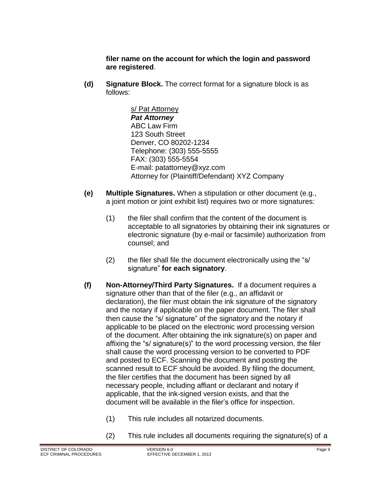**filer name on the account for which the login and password are registered**.

**(d) Signature Block.** The correct format for a signature block is as follows:

> s/ Pat Attorney *Pat Attorney* ABC Law Firm 123 South Street Denver, CO 80202-1234 Telephone: (303) 555-5555 FAX: (303) 555-5554 E-mail: [patattorney@xyz.com](mailto:patattorney@xyz.com) Attorney for (Plaintiff/Defendant) XYZ Company

- **(e) Multiple Signatures.** When a stipulation or other document (e.g., a joint motion or joint exhibit list) requires two or more signatures:
	- (1) the filer shall confirm that the content of the document is acceptable to all signatories by obtaining their ink signatures or electronic signature (by e-mail or facsimile) authorization from counsel; and
	- (2) the filer shall file the document electronically using the "s/ signature" **for each signatory**.
- **(f) Non-Attorney/Third Party Signatures.** If a document requires a signature other than that of the filer (e.g., an affidavit or declaration), the filer must obtain the ink signature of the signatory and the notary if applicable on the paper document. The filer shall then cause the "s/ signature" of the signatory and the notary if applicable to be placed on the electronic word processing version of the document. After obtaining the ink signature(s) on paper and affixing the "s/ signature(s)" to the word processing version, the filer shall cause the word processing version to be converted to PDF and posted to ECF. Scanning the document and posting the scanned result to ECF should be avoided. By filing the document, the filer certifies that the document has been signed by all necessary people, including affiant or declarant and notary if applicable, that the ink-signed version exists, and that the document will be available in the filer's office for inspection.
	- (1) This rule includes all notarized documents.
	- (2) This rule includes all documents requiring the signature(s) of a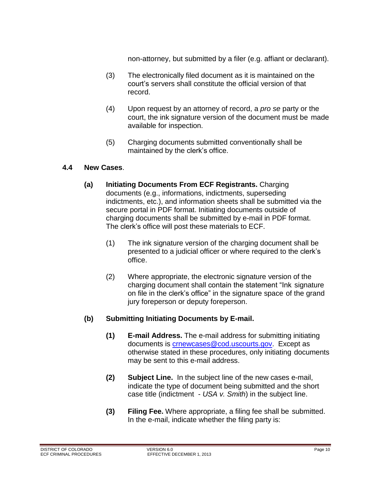non-attorney, but submitted by a filer (e.g. affiant or declarant).

- (3) The electronically filed document as it is maintained on the court's servers shall constitute the official version of that record.
- (4) Upon request by an attorney of record, a *pro se* party or the court, the ink signature version of the document must be made available for inspection.
- (5) Charging documents submitted conventionally shall be maintained by the clerk's office.

#### <span id="page-9-0"></span>**4.4 New Cases**.

- **(a) Initiating Documents From ECF Registrants.** Charging documents (e.g., informations, indictments, superseding indictments, etc.), and information sheets shall be submitted via the secure portal in PDF format. Initiating documents outside of charging documents shall be submitted by e-mail in PDF format. The clerk's office will post these materials to ECF.
	- (1) The ink signature version of the charging document shall be presented to a judicial officer or where required to the clerk's office.
	- (2) Where appropriate, the electronic signature version of the charging document shall contain the statement "Ink signature on file in the clerk's office" in the signature space of the grand jury foreperson or deputy foreperson.

#### **(b) Submitting Initiating Documents by E-mail.**

- **(1) E-mail Address.** The e-mail address for submitting initiating documents is [crnewcases@cod.uscourts.gov.](mailto:crnewcases@cod.uscourts.gov) Except as otherwise stated in these procedures, only initiating documents may be sent to this e-mail address.
- **(2) Subject Line.** In the subject line of the new cases e-mail, indicate the type of document being submitted and the short case title (indictment - *USA v. Smith*) in the subject line.
- **(3) Filing Fee.** Where appropriate, a filing fee shall be submitted. In the e-mail, indicate whether the filing party is: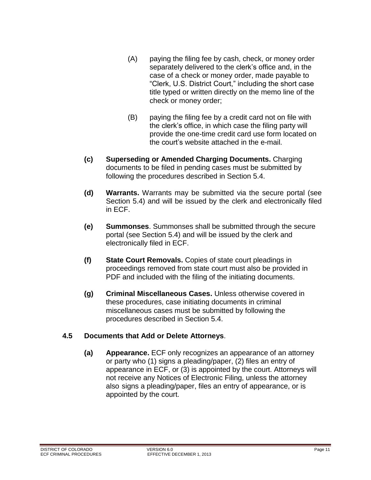- (A) paying the filing fee by cash, check, or money order separately delivered to the clerk's office and, in the case of a check or money order, made payable to "Clerk, U.S. District Court," including the short case title typed or written directly on the memo line of the check or money order;
- (B) paying the filing fee by a credit card not on file with the clerk's office, in which case the filing party will provide the one-time credit card use form located on the court's website attached in the e-mail.
- **(c) Superseding or Amended Charging Documents.** Charging documents to be filed in pending cases must be submitted by following the procedures described in Section 5.4.
- **(d) Warrants.** Warrants may be submitted via the secure portal (see Section 5.4) and will be issued by the clerk and electronically filed in ECF.
- **(e) Summonses**. Summonses shall be submitted through the secure portal (see Section 5.4) and will be issued by the clerk and electronically filed in ECF.
- **(f) State Court Removals.** Copies of state court pleadings in proceedings removed from state court must also be provided in PDF and included with the filing of the initiating documents.
- **(g) Criminal Miscellaneous Cases.** Unless otherwise covered in these procedures, case initiating documents in criminal miscellaneous cases must be submitted by following the procedures described in Section 5.4.

#### <span id="page-10-0"></span>**4.5 Documents that Add or Delete Attorneys**.

**(a) Appearance.** ECF only recognizes an appearance of an attorney or party who (1) signs a pleading/paper, (2) files an entry of appearance in ECF, or (3) is appointed by the court. Attorneys will not receive any Notices of Electronic Filing, unless the attorney also signs a pleading/paper, files an entry of appearance, or is appointed by the court.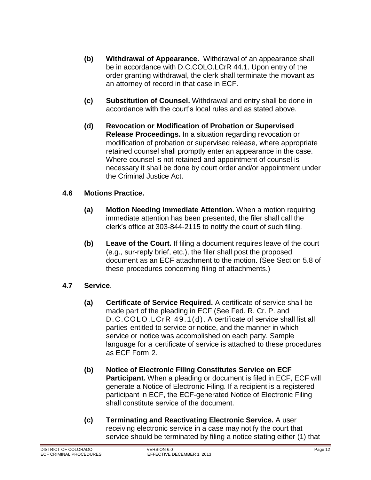- **(b) Withdrawal of Appearance.** Withdrawal of an appearance shall be in accordance with D.C.COLO.LCrR 44.1. Upon entry of the order granting withdrawal, the clerk shall terminate the movant as an attorney of record in that case in ECF.
- **(c) Substitution of Counsel.** Withdrawal and entry shall be done in accordance with the court's local rules and as stated above.
- **(d) Revocation or Modification of Probation or Supervised Release Proceedings.** In a situation regarding revocation or modification of probation or supervised release, where appropriate retained counsel shall promptly enter an appearance in the case. Where counsel is not retained and appointment of counsel is necessary it shall be done by court order and/or appointment under the Criminal Justice Act.

#### <span id="page-11-0"></span>**4.6 Motions Practice.**

- **(a) Motion Needing Immediate Attention.** When a motion requiring immediate attention has been presented, the filer shall call the clerk's office at 303-844-2115 to notify the court of such filing.
- **(b) Leave of the Court.** If filing a document requires leave of the court (e.g., sur-reply brief, etc.), the filer shall post the proposed document as an ECF attachment to the motion. (See Section 5.8 of these procedures concerning filing of attachments.)

#### <span id="page-11-1"></span>**4.7 Service**.

- **(a) Certificate of Service Required.** A certificate of service shall be made part of the pleading in ECF (See Fed. R. Cr. P. and D.C.COLO.LCrR 49.1(d). A certificate of service shall list all parties entitled to service or notice, and the manner in which service or notice was accomplished on each party. Sample language for a certificate of service is attached to these procedures as ECF Form 2.
- **(b) Notice of Electronic Filing Constitutes Service on ECF Participant.** When a pleading or document is filed in ECF, ECF will generate a Notice of Electronic Filing. If a recipient is a registered participant in ECF, the ECF-generated Notice of Electronic Filing shall constitute service of the document.
- **(c) Terminating and Reactivating Electronic Service.** A user receiving electronic service in a case may notify the court that service should be terminated by filing a notice stating either (1) that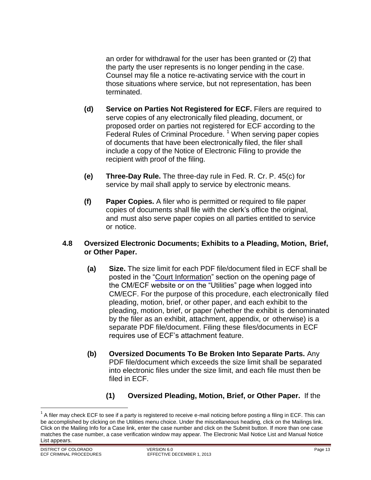an order for withdrawal for the user has been granted or (2) that the party the user represents is no longer pending in the case. Counsel may file a notice re-activating service with the court in those situations where service, but not representation, has been terminated.

- **(d) Service on Parties Not Registered for ECF.** Filers are required to serve copies of any electronically filed pleading, document, or proposed order on parties not registered for ECF according to the Federal Rules of Criminal Procedure.<sup>1</sup> When serving paper copies of documents that have been electronically filed, the filer shall include a copy of the Notice of Electronic Filing to provide the recipient with proof of the filing.
- **(e) Three-Day Rule.** The three-day rule in Fed. R. Cr. P. 45(c) for service by mail shall apply to service by electronic means.
- **(f) Paper Copies.** A filer who is permitted or required to file paper copies of documents shall file with the clerk's office the original, and must also serve paper copies on all parties entitled to service or notice.

#### <span id="page-12-0"></span>**4.8 Oversized Electronic Documents; Exhibits to a Pleading, Motion, Brief, or Other Paper.**

- **(a) Size.** The size limit for each PDF file/document filed in ECF shall be posted in the "Court Information" section on the opening page of the CM/ECF website or on the "Utilities" page when logged into CM/ECF. For the purpose of this procedure, each electronically filed pleading, motion, brief, or other paper, and each exhibit to the pleading, motion, brief, or paper (whether the exhibit is denominated by the filer as an exhibit, attachment, appendix, or otherwise) is a separate PDF file/document. Filing these files/documents in ECF requires use of ECF's attachment feature.
- **(b) Oversized Documents To Be Broken Into Separate Parts.** Any PDF file/document which exceeds the size limit shall be separated into electronic files under the size limit, and each file must then be filed in ECF.
	- **(1) Oversized Pleading, Motion, Brief, or Other Paper.** If the

 $\overline{a}$ 

 $^1$  A filer may check ECF to see if a party is registered to receive e-mail noticing before posting a filing in ECF. This can be accomplished by clicking on the Utilities menu choice. Under the miscellaneous heading, click on the Mailings link. Click on the Mailing Info for a Case link, enter the case number and click on the Submit button. If more than one case matches the case number, a case verification window may appear. The Electronic Mail Notice List and Manual Notice List appears.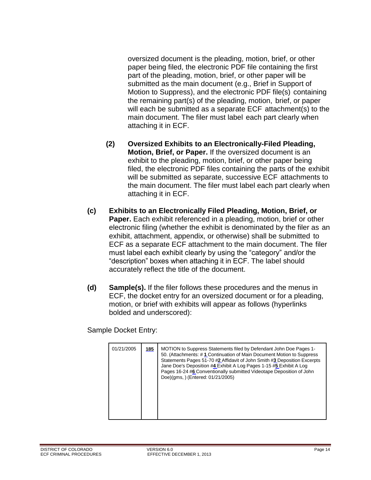oversized document is the pleading, motion, brief, or other paper being filed, the electronic PDF file containing the first part of the pleading, motion, brief, or other paper will be submitted as the main document (e.g., Brief in Support of Motion to Suppress), and the electronic PDF file(s) containing the remaining part(s) of the pleading, motion, brief, or paper will each be submitted as a separate ECF attachment(s) to the main document. The filer must label each part clearly when attaching it in ECF.

- **(2) Oversized Exhibits to an Electronically-Filed Pleading, Motion, Brief, or Paper.** If the oversized document is an exhibit to the pleading, motion, brief, or other paper being filed, the electronic PDF files containing the parts of the exhibit will be submitted as separate, successive ECF attachments to the main document. The filer must label each part clearly when attaching it in ECF.
- **(c) Exhibits to an Electronically Filed Pleading, Motion, Brief, or Paper.** Each exhibit referenced in a pleading, motion, brief or other electronic filing (whether the exhibit is denominated by the filer as an exhibit, attachment, appendix, or otherwise) shall be submitted to ECF as a separate ECF attachment to the main document. The filer must label each exhibit clearly by using the "category" and/or the "description" boxes when attaching it in ECF. The label should accurately reflect the title of the document.
- **(d) Sample(s).** If the filer follows these procedures and the menus in ECF, the docket entry for an oversized document or for a pleading, motion, or brief with exhibits will appear as follows (hyperlinks bolded and underscored):

Sample Docket Entry:

| 01/21/2005 | 185 | MOTION to Suppress Statements filed by Defendant John Doe Pages 1-<br>50. (Attachments: #1 Continuation of Main Document Motion to Suppress<br>Statements Pages 51-70 #2 Affidavit of John Smith #3 Deposition Excerpts<br>Jane Doe's Deposition #4 Exhibit A Log Pages 1-15 #5 Exhibit A Log<br>Pages 16-24 #6 Conventionally submitted Videotape Deposition of John<br>Doe)(gms, ) (Entered: 01/21/2005) |
|------------|-----|------------------------------------------------------------------------------------------------------------------------------------------------------------------------------------------------------------------------------------------------------------------------------------------------------------------------------------------------------------------------------------------------------------|
|------------|-----|------------------------------------------------------------------------------------------------------------------------------------------------------------------------------------------------------------------------------------------------------------------------------------------------------------------------------------------------------------------------------------------------------------|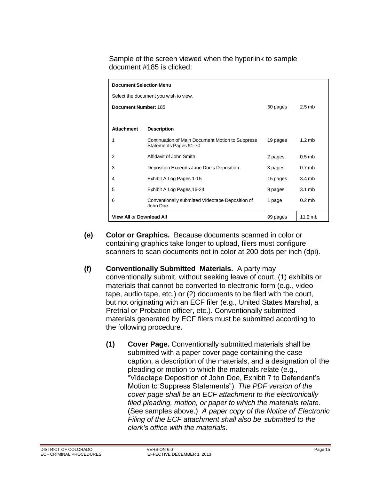Sample of the screen viewed when the hyperlink to sample document #185 is clicked:

| <b>Document Selection Menu</b>        |                                                                            |          |                   |  |  |  |  |
|---------------------------------------|----------------------------------------------------------------------------|----------|-------------------|--|--|--|--|
| Select the document you wish to view. |                                                                            |          |                   |  |  |  |  |
| Document Number: 185                  |                                                                            | 50 pages | $2.5$ mb          |  |  |  |  |
|                                       |                                                                            |          |                   |  |  |  |  |
| <b>Attachment</b>                     | <b>Description</b>                                                         |          |                   |  |  |  |  |
| 1                                     | Continuation of Main Document Motion to Suppress<br>Statements Pages 51-70 | 19 pages | $1.2$ mb          |  |  |  |  |
| $\overline{2}$                        | Affidavit of John Smith                                                    | 2 pages  | $0.5$ mb          |  |  |  |  |
| 3                                     | Deposition Excerpts Jane Doe's Deposition                                  | 3 pages  | 0.7 <sub>mb</sub> |  |  |  |  |
| 4                                     | Exhibit A Log Pages 1-15                                                   | 15 pages | 3.4mb             |  |  |  |  |
| 5                                     | Exhibit A Log Pages 16-24                                                  | 9 pages  | 3.1 <sub>mb</sub> |  |  |  |  |
| 6                                     | Conventionally submitted Videotape Deposition of<br>John Doe               | 1 page   | $0.2$ mb          |  |  |  |  |
| <b>View All or Download All</b>       |                                                                            | 99 pages | $11.2$ mb         |  |  |  |  |

- **(e) Color or Graphics.** Because documents scanned in color or containing graphics take longer to upload, filers must configure scanners to scan documents not in color at 200 dots per inch (dpi).
- **(f) Conventionally Submitted Materials.** A party may conventionally submit, without seeking leave of court, (1) exhibits or materials that cannot be converted to electronic form (e.g., video tape, audio tape, etc.) or (2) documents to be filed with the court, but not originating with an ECF filer (e.g., United States Marshal, a Pretrial or Probation officer, etc.). Conventionally submitted materials generated by ECF filers must be submitted according to the following procedure.
	- **(1) Cover Page.** Conventionally submitted materials shall be submitted with a paper cover page containing the case caption, a description of the materials, and a designation of the pleading or motion to which the materials relate (e.g., "Videotape Deposition of John Doe, Exhibit 7 to Defendant's Motion to Suppress Statements"). *The PDF version of the cover page shall be an ECF attachment to the electronically filed pleading, motion, or paper to which the materials relate*. (See samples above.) *A paper copy of the Notice of Electronic Filing of the ECF attachment shall also be submitted to the clerk's office with the materials*.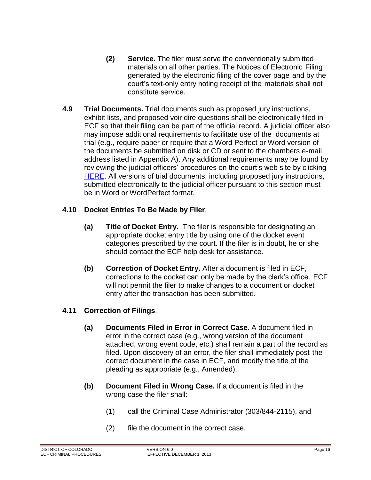- **(2) Service.** The filer must serve the conventionally submitted materials on all other parties. The Notices of Electronic Filing generated by the electronic filing of the cover page and by the court's text-only entry noting receipt of the materials shall not constitute service.
- <span id="page-15-0"></span>**4.9 Trial Documents.** Trial documents such as proposed jury instructions, exhibit lists, and proposed voir dire questions shall be electronically filed in ECF so that their filing can be part of the official record. A judicial officer also may impose additional requirements to facilitate use of the documents at trial (e.g., require paper or require that a Word Perfect or Word version of the documents be submitted on disk or CD or sent to the chambers e-mail address listed in Appendix A). Any additional requirements may be found by reviewing the judicial officers' procedures on the court's web site by clicking [HERE.](http://www.cod.uscourts.gov/JudicialOfficers.aspx) All versions of trial documents, including proposed jury instructions, submitted electronically to the judicial officer pursuant to this section must be in Word or WordPerfect format.

#### <span id="page-15-1"></span>**4.10 Docket Entries To Be Made by Filer**.

- **(a) Title of Docket Entry.** The filer is responsible for designating an appropriate docket entry title by using one of the docket event categories prescribed by the court. If the filer is in doubt, he or she should contact the ECF help desk for assistance.
- **(b) Correction of Docket Entry.** After a document is filed in ECF, corrections to the docket can only be made by the clerk's office. ECF will not permit the filer to make changes to a document or docket entry after the transaction has been submitted.

#### <span id="page-15-2"></span>**4.11 Correction of Filings**.

- **(a) Documents Filed in Error in Correct Case.** A document filed in error in the correct case (e.g., wrong version of the document attached, wrong event code, etc.) shall remain a part of the record as filed. Upon discovery of an error, the filer shall immediately post the correct document in the case in ECF, and modify the title of the pleading as appropriate (e.g., Amended).
- **(b) Document Filed in Wrong Case.** If a document is filed in the wrong case the filer shall:
	- (1) call the Criminal Case Administrator (303/844-2115), and
	- (2) file the document in the correct case.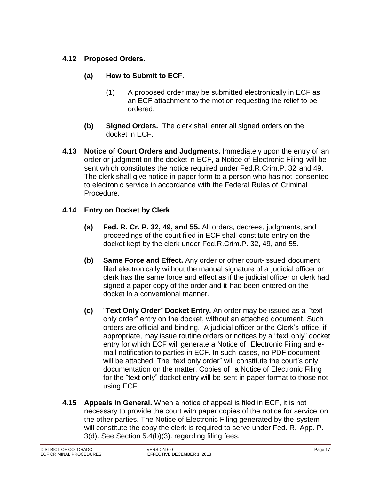#### <span id="page-16-0"></span>**4.12 Proposed Orders.**

- **(a) How to Submit to ECF.**
	- (1) A proposed order may be submitted electronically in ECF as an ECF attachment to the motion requesting the relief to be ordered.
- **(b) Signed Orders.** The clerk shall enter all signed orders on the docket in ECF.
- <span id="page-16-1"></span>**4.13 Notice of Court Orders and Judgments.** Immediately upon the entry of an order or judgment on the docket in ECF, a Notice of Electronic Filing will be sent which constitutes the notice required under Fed.R.Crim.P. 32 and 49. The clerk shall give notice in paper form to a person who has not consented to electronic service in accordance with the Federal Rules of Criminal Procedure.

#### <span id="page-16-2"></span>**4.14 Entry on Docket by Clerk**.

- **(a) Fed. R. Cr. P. 32, 49, and 55.** All orders, decrees, judgments, and proceedings of the court filed in ECF shall constitute entry on the docket kept by the clerk under Fed.R.Crim.P. 32, 49, and 55.
- **(b) Same Force and Effect.** Any order or other court-issued document filed electronically without the manual signature of a judicial officer or clerk has the same force and effect as if the judicial officer or clerk had signed a paper copy of the order and it had been entered on the docket in a conventional manner.
- **(c)** "**Text Only Order**" **Docket Entry.** An order may be issued as a "text only order" entry on the docket, without an attached document. Such orders are official and binding. A judicial officer or the Clerk's office, if appropriate, may issue routine orders or notices by a "text only" docket entry for which ECF will generate a Notice of Electronic Filing and email notification to parties in ECF. In such cases, no PDF document will be attached. The "text only order" will constitute the court's only documentation on the matter. Copies of a Notice of Electronic Filing for the "text only" docket entry will be sent in paper format to those not using ECF.
- <span id="page-16-3"></span>**4.15 Appeals in General.** When a notice of appeal is filed in ECF, it is not necessary to provide the court with paper copies of the notice for service on the other parties. The Notice of Electronic Filing generated by the system will constitute the copy the clerk is required to serve under Fed. R. App. P. 3(d). See Section 5.4(b)(3). regarding filing fees.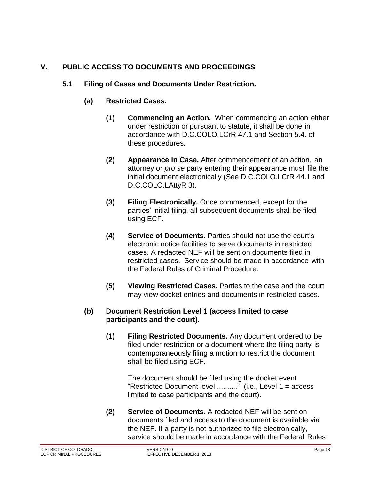### <span id="page-17-1"></span><span id="page-17-0"></span>**V. PUBLIC ACCESS TO DOCUMENTS AND PROCEEDINGS**

#### **5.1 Filing of Cases and Documents Under Restriction.**

#### **(a) Restricted Cases.**

- **(1) Commencing an Action.** When commencing an action either under restriction or pursuant to statute, it shall be done in accordance with D.C.COLO.LCrR 47.1 and Section 5.4. of these procedures.
- **(2) Appearance in Case.** After commencement of an action, an attorney or *pro se* party entering their appearance must file the initial document electronically (See D.C.COLO.LCrR 44.1 and D.C.COLO.LAttyR 3).
- **(3) Filing Electronically.** Once commenced, except for the parties' initial filing, all subsequent documents shall be filed using ECF.
- **(4) Service of Documents.** Parties should not use the court's electronic notice facilities to serve documents in restricted cases. A redacted NEF will be sent on documents filed in restricted cases. Service should be made in accordance with the Federal Rules of Criminal Procedure.
- **(5) Viewing Restricted Cases.** Parties to the case and the court may view docket entries and documents in restricted cases.

#### **(b) Document Restriction Level 1 (access limited to case participants and the court).**

**(1) Filing Restricted Documents.** Any document ordered to be filed under restriction or a document where the filing party is contemporaneously filing a motion to restrict the document shall be filed using ECF.

The document should be filed using the docket event "Restricted Document level .........." (i.e., Level 1 = access limited to case participants and the court).

**(2) Service of Documents.** A redacted NEF will be sent on documents filed and access to the document is available via the NEF. If a party is not authorized to file electronically, service should be made in accordance with the Federal Rules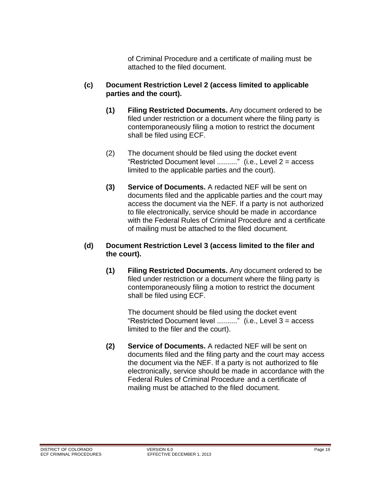of Criminal Procedure and a certificate of mailing must be attached to the filed document.

- **(c) Document Restriction Level 2 (access limited to applicable parties and the court).**
	- **(1) Filing Restricted Documents.** Any document ordered to be filed under restriction or a document where the filing party is contemporaneously filing a motion to restrict the document shall be filed using ECF.
	- (2) The document should be filed using the docket event "Restricted Document level .........." (i.e., Level 2 = access limited to the applicable parties and the court).
	- **(3) Service of Documents.** A redacted NEF will be sent on documents filed and the applicable parties and the court may access the document via the NEF. If a party is not authorized to file electronically, service should be made in accordance with the Federal Rules of Criminal Procedure and a certificate of mailing must be attached to the filed document.

#### **(d) Document Restriction Level 3 (access limited to the filer and the court).**

**(1) Filing Restricted Documents.** Any document ordered to be filed under restriction or a document where the filing party is contemporaneously filing a motion to restrict the document shall be filed using ECF.

> The document should be filed using the docket event "Restricted Document level .........." (i.e., Level 3 = access limited to the filer and the court).

**(2) Service of Documents.** A redacted NEF will be sent on documents filed and the filing party and the court may access the document via the NEF. If a party is not authorized to file electronically, service should be made in accordance with the Federal Rules of Criminal Procedure and a certificate of mailing must be attached to the filed document.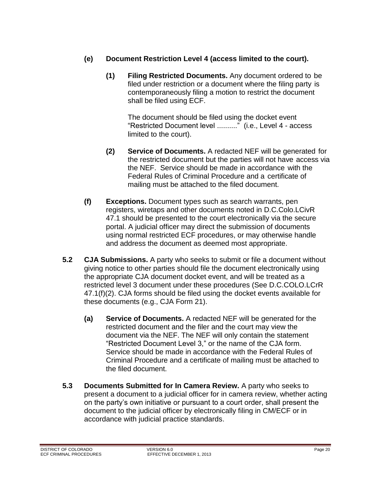- **(e) Document Restriction Level 4 (access limited to the court).**
	- **(1) Filing Restricted Documents.** Any document ordered to be filed under restriction or a document where the filing party is contemporaneously filing a motion to restrict the document shall be filed using ECF.

The document should be filed using the docket event "Restricted Document level .........." (i.e., Level 4 - access limited to the court).

- **(2) Service of Documents.** A redacted NEF will be generated for the restricted document but the parties will not have access via the NEF. Service should be made in accordance with the Federal Rules of Criminal Procedure and a certificate of mailing must be attached to the filed document.
- **(f) Exceptions.** Document types such as search warrants, pen registers, wiretaps and other documents noted in D.C.Colo.LCivR 47.1 should be presented to the court electronically via the secure portal. A judicial officer may direct the submission of documents using normal restricted ECF procedures, or may otherwise handle and address the document as deemed most appropriate.
- <span id="page-19-0"></span>**5.2 CJA Submissions.** A party who seeks to submit or file a document without giving notice to other parties should file the document electronically using the appropriate CJA document docket event, and will be treated as a restricted level 3 document under these procedures (See D.C.COLO.LCrR 47.1(f)(2). CJA forms should be filed using the docket events available for these documents (e.g., CJA Form 21).
	- **(a) Service of Documents.** A redacted NEF will be generated for the restricted document and the filer and the court may view the document via the NEF. The NEF will only contain the statement "Restricted Document Level 3," or the name of the CJA form. Service should be made in accordance with the Federal Rules of Criminal Procedure and a certificate of mailing must be attached to the filed document.
- <span id="page-19-1"></span>**5.3 Documents Submitted for In Camera Review.** A party who seeks to present a document to a judicial officer for in camera review, whether acting on the party's own initiative or pursuant to a court order, shall present the document to the judicial officer by electronically filing in CM/ECF or in accordance with judicial practice standards.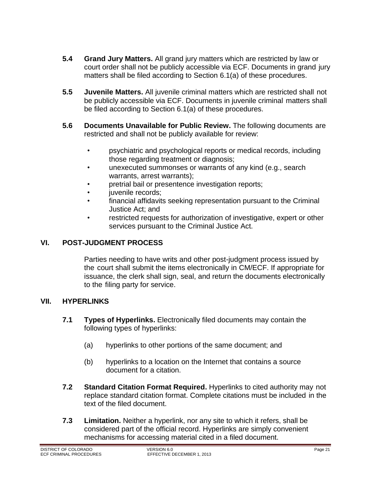- <span id="page-20-0"></span>**5.4 Grand Jury Matters.** All grand jury matters which are restricted by law or court order shall not be publicly accessible via ECF. Documents in grand jury matters shall be filed according to Section 6.1(a) of these procedures.
- <span id="page-20-1"></span>**5.5 Juvenile Matters.** All juvenile criminal matters which are restricted shall not be publicly accessible via ECF. Documents in juvenile criminal matters shall be filed according to Section 6.1(a) of these procedures.
- <span id="page-20-2"></span>**5.6 Documents Unavailable for Public Review.** The following documents are restricted and shall not be publicly available for review:
	- psychiatric and psychological reports or medical records, including those regarding treatment or diagnosis;
	- unexecuted summonses or warrants of any kind (e.g., search warrants, arrest warrants);
	- pretrial bail or presentence investigation reports;
	- juvenile records;
	- financial affidavits seeking representation pursuant to the Criminal Justice Act; and
	- restricted requests for authorization of investigative, expert or other services pursuant to the Criminal Justice Act.

#### <span id="page-20-3"></span>**VI. POST-JUDGMENT PROCESS**

Parties needing to have writs and other post-judgment process issued by the court shall submit the items electronically in CM/ECF. If appropriate for issuance, the clerk shall sign, seal, and return the documents electronically to the filing party for service.

#### <span id="page-20-5"></span><span id="page-20-4"></span>**VII. HYPERLINKS**

- **7.1 Types of Hyperlinks.** Electronically filed documents may contain the following types of hyperlinks:
	- (a) hyperlinks to other portions of the same document; and
	- (b) hyperlinks to a location on the Internet that contains a source document for a citation.
- <span id="page-20-6"></span>**7.2 Standard Citation Format Required.** Hyperlinks to cited authority may not replace standard citation format. Complete citations must be included in the text of the filed document.
- <span id="page-20-7"></span>**7.3 Limitation.** Neither a hyperlink, nor any site to which it refers, shall be considered part of the official record. Hyperlinks are simply convenient mechanisms for accessing material cited in a filed document.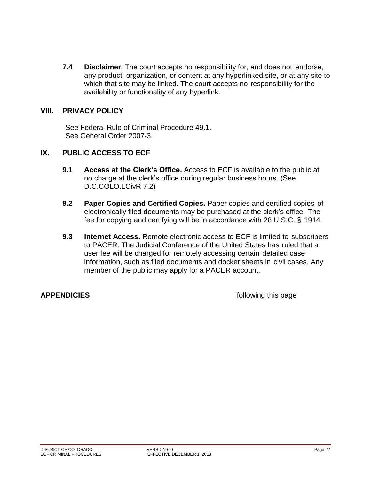<span id="page-21-0"></span>**7.4 Disclaimer.** The court accepts no responsibility for, and does not endorse, any product, organization, or content at any hyperlinked site, or at any site to which that site may be linked. The court accepts no responsibility for the availability or functionality of any hyperlink.

#### <span id="page-21-1"></span>**VIII. PRIVACY POLICY**

See Federal Rule of Criminal Procedure 49.1. See General Order 2007-3.

#### <span id="page-21-3"></span><span id="page-21-2"></span>**IX. PUBLIC ACCESS TO ECF**

- **9.1 Access at the Clerk's Office.** Access to ECF is available to the public at no charge at the clerk's office during regular business hours. (See D.C.COLO.LCivR 7.2)
- <span id="page-21-4"></span>**9.2 Paper Copies and Certified Copies.** Paper copies and certified copies of electronically filed documents may be purchased at the clerk's office. The fee for copying and certifying will be in accordance with 28 U.S.C. § 1914.
- <span id="page-21-5"></span>**9.3 Internet Access.** Remote electronic access to ECF is limited to subscribers to PACER. The Judicial Conference of the United States has ruled that a user fee will be charged for remotely accessing certain detailed case information, such as filed documents and docket sheets in civil cases. Any member of the public may apply for a PACER account.

**APPENDICIES** *APPENDICIES*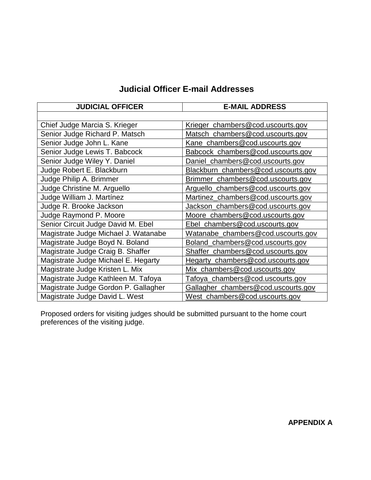## **Judicial Officer E-mail Addresses**

| <b>JUDICIAL OFFICER</b>              | <b>E-MAIL ADDRESS</b>                   |  |  |
|--------------------------------------|-----------------------------------------|--|--|
|                                      |                                         |  |  |
| Chief Judge Marcia S. Krieger        | Krieger_chambers@cod.uscourts.gov       |  |  |
| Senior Judge Richard P. Matsch       | Matsch_chambers@cod.uscourts.gov        |  |  |
| Senior Judge John L. Kane            | Kane_chambers@cod.uscourts.gov          |  |  |
| Senior Judge Lewis T. Babcock        | Babcock_chambers@cod.uscourts.gov       |  |  |
| Senior Judge Wiley Y. Daniel         | Daniel_chambers@cod.uscourts.gov        |  |  |
| Judge Robert E. Blackburn            | Blackburn_chambers@cod.uscourts.gov     |  |  |
| Judge Philip A. Brimmer              | Brimmer_chambers@cod.uscourts.gov       |  |  |
| Judge Christine M. Arguello          | Arguello_chambers@cod.uscourts.gov      |  |  |
| Judge William J. Martínez            | Martinez_chambers@cod.uscourts.gov      |  |  |
| Judge R. Brooke Jackson              | Jackson_chambers@cod.uscourts.gov       |  |  |
| Judge Raymond P. Moore               | Moore_chambers@cod.uscourts.gov         |  |  |
| Senior Circuit Judge David M. Ebel   | Ebel_chambers@cod.uscourts.gov          |  |  |
| Magistrate Judge Michael J. Watanabe | Watanabe_chambers@cod.uscourts.gov      |  |  |
| Magistrate Judge Boyd N. Boland      | Boland_chambers@cod.uscourts.gov        |  |  |
| Magistrate Judge Craig B. Shaffer    | Shaffer_chambers@cod.uscourts.gov       |  |  |
| Magistrate Judge Michael E. Hegarty  | Hegarty_chambers@cod.uscourts.gov       |  |  |
| Magistrate Judge Kristen L. Mix      | Mix_chambers@cod.uscourts.gov           |  |  |
| Magistrate Judge Kathleen M. Tafoya  | <u>Tafoya_chambers@cod.uscourts.gov</u> |  |  |
| Magistrate Judge Gordon P. Gallagher | Gallagher_chambers@cod.uscourts.gov     |  |  |
| Magistrate Judge David L. West       | West_chambers@cod.uscourts.gov          |  |  |

<span id="page-22-0"></span>Proposed orders for visiting judges should be submitted pursuant to the home court preferences of the visiting judge.